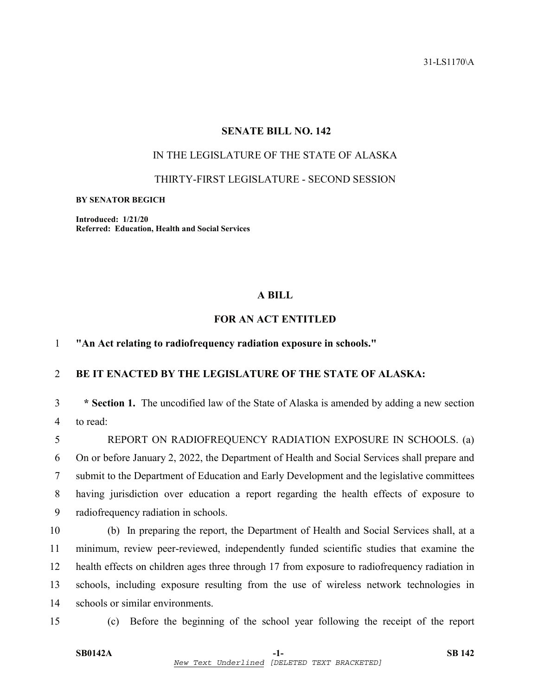31-LS1170\A

### **SENATE BILL NO. 142**

## IN THE LEGISLATURE OF THE STATE OF ALASKA

THIRTY-FIRST LEGISLATURE - SECOND SESSION

**BY SENATOR BEGICH** 

**Introduced: 1/21/20 Referred: Education, Health and Social Services** 

## **A BILL**

# **FOR AN ACT ENTITLED**

### 1 **"An Act relating to radiofrequency radiation exposure in schools."**

## 2 **BE IT ENACTED BY THE LEGISLATURE OF THE STATE OF ALASKA:**

3 **\* Section 1.** The uncodified law of the State of Alaska is amended by adding a new section 4 to read:

5 REPORT ON RADIOFREQUENCY RADIATION EXPOSURE IN SCHOOLS. (a) 6 On or before January 2, 2022, the Department of Health and Social Services shall prepare and 7 submit to the Department of Education and Early Development and the legislative committees 8 having jurisdiction over education a report regarding the health effects of exposure to 9 radiofrequency radiation in schools.

- 10 (b) In preparing the report, the Department of Health and Social Services shall, at a 11 minimum, review peer-reviewed, independently funded scientific studies that examine the 12 health effects on children ages three through 17 from exposure to radiofrequency radiation in 13 schools, including exposure resulting from the use of wireless network technologies in 14 schools or similar environments.
- 

15 (c) Before the beginning of the school year following the receipt of the report